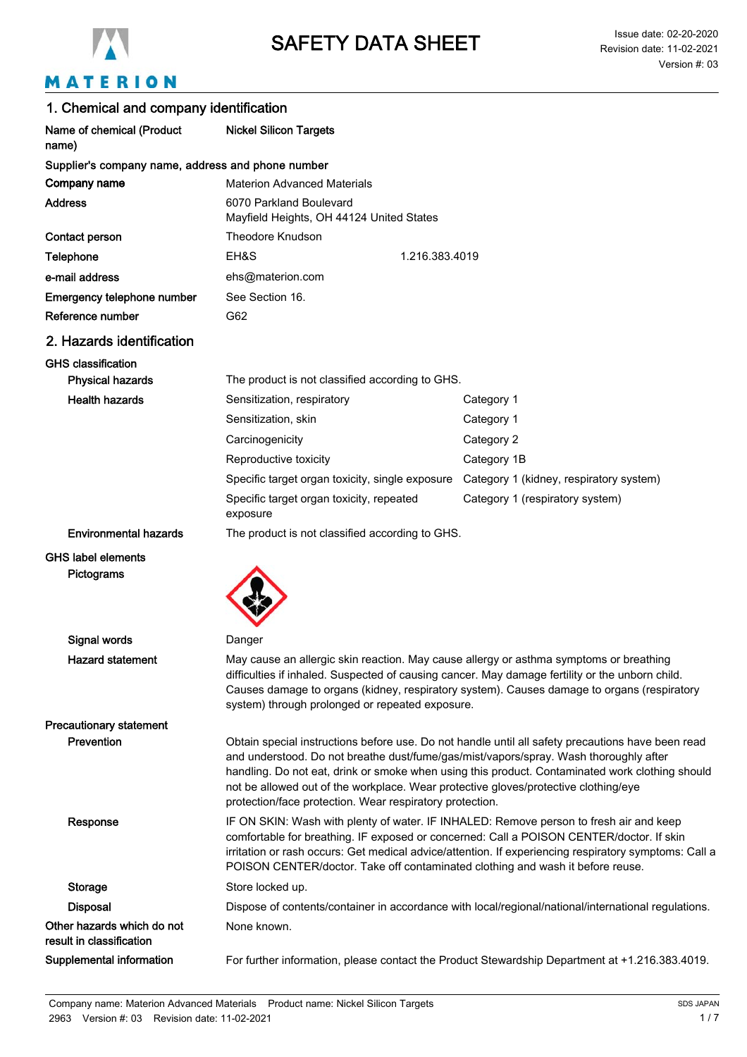

# MATERION

| 1. Chemical and company identification                 |                                                                                                                                                                                                                                                                                                                                                                                                                                                  |                                                                                                                                                                                                                                                                                         |  |
|--------------------------------------------------------|--------------------------------------------------------------------------------------------------------------------------------------------------------------------------------------------------------------------------------------------------------------------------------------------------------------------------------------------------------------------------------------------------------------------------------------------------|-----------------------------------------------------------------------------------------------------------------------------------------------------------------------------------------------------------------------------------------------------------------------------------------|--|
| Name of chemical (Product<br>name)                     | <b>Nickel Silicon Targets</b>                                                                                                                                                                                                                                                                                                                                                                                                                    |                                                                                                                                                                                                                                                                                         |  |
| Supplier's company name, address and phone number      |                                                                                                                                                                                                                                                                                                                                                                                                                                                  |                                                                                                                                                                                                                                                                                         |  |
| Company name                                           | <b>Materion Advanced Materials</b>                                                                                                                                                                                                                                                                                                                                                                                                               |                                                                                                                                                                                                                                                                                         |  |
| <b>Address</b>                                         | 6070 Parkland Boulevard<br>Mayfield Heights, OH 44124 United States                                                                                                                                                                                                                                                                                                                                                                              |                                                                                                                                                                                                                                                                                         |  |
| Contact person                                         | <b>Theodore Knudson</b>                                                                                                                                                                                                                                                                                                                                                                                                                          |                                                                                                                                                                                                                                                                                         |  |
| Telephone                                              | EH&S                                                                                                                                                                                                                                                                                                                                                                                                                                             | 1.216.383.4019                                                                                                                                                                                                                                                                          |  |
| e-mail address                                         | ehs@materion.com                                                                                                                                                                                                                                                                                                                                                                                                                                 |                                                                                                                                                                                                                                                                                         |  |
| Emergency telephone number                             | See Section 16.                                                                                                                                                                                                                                                                                                                                                                                                                                  |                                                                                                                                                                                                                                                                                         |  |
| Reference number                                       | G62                                                                                                                                                                                                                                                                                                                                                                                                                                              |                                                                                                                                                                                                                                                                                         |  |
| 2. Hazards identification                              |                                                                                                                                                                                                                                                                                                                                                                                                                                                  |                                                                                                                                                                                                                                                                                         |  |
| <b>GHS classification</b>                              |                                                                                                                                                                                                                                                                                                                                                                                                                                                  |                                                                                                                                                                                                                                                                                         |  |
| <b>Physical hazards</b>                                | The product is not classified according to GHS.                                                                                                                                                                                                                                                                                                                                                                                                  |                                                                                                                                                                                                                                                                                         |  |
| <b>Health hazards</b>                                  | Sensitization, respiratory                                                                                                                                                                                                                                                                                                                                                                                                                       | Category 1                                                                                                                                                                                                                                                                              |  |
|                                                        | Sensitization, skin                                                                                                                                                                                                                                                                                                                                                                                                                              | Category 1                                                                                                                                                                                                                                                                              |  |
|                                                        | Carcinogenicity                                                                                                                                                                                                                                                                                                                                                                                                                                  | Category 2                                                                                                                                                                                                                                                                              |  |
|                                                        | Reproductive toxicity                                                                                                                                                                                                                                                                                                                                                                                                                            | Category 1B                                                                                                                                                                                                                                                                             |  |
|                                                        | Specific target organ toxicity, single exposure                                                                                                                                                                                                                                                                                                                                                                                                  | Category 1 (kidney, respiratory system)                                                                                                                                                                                                                                                 |  |
|                                                        | Specific target organ toxicity, repeated<br>exposure                                                                                                                                                                                                                                                                                                                                                                                             | Category 1 (respiratory system)                                                                                                                                                                                                                                                         |  |
| <b>Environmental hazards</b>                           | The product is not classified according to GHS.                                                                                                                                                                                                                                                                                                                                                                                                  |                                                                                                                                                                                                                                                                                         |  |
| <b>GHS label elements</b>                              |                                                                                                                                                                                                                                                                                                                                                                                                                                                  |                                                                                                                                                                                                                                                                                         |  |
| Pictograms                                             |                                                                                                                                                                                                                                                                                                                                                                                                                                                  |                                                                                                                                                                                                                                                                                         |  |
| <b>Signal words</b>                                    | Danger                                                                                                                                                                                                                                                                                                                                                                                                                                           |                                                                                                                                                                                                                                                                                         |  |
| <b>Hazard statement</b>                                | system) through prolonged or repeated exposure.                                                                                                                                                                                                                                                                                                                                                                                                  | May cause an allergic skin reaction. May cause allergy or asthma symptoms or breathing<br>difficulties if inhaled. Suspected of causing cancer. May damage fertility or the unborn child.<br>Causes damage to organs (kidney, respiratory system). Causes damage to organs (respiratory |  |
| <b>Precautionary statement</b>                         |                                                                                                                                                                                                                                                                                                                                                                                                                                                  |                                                                                                                                                                                                                                                                                         |  |
| Prevention                                             | Obtain special instructions before use. Do not handle until all safety precautions have been read<br>and understood. Do not breathe dust/fume/gas/mist/vapors/spray. Wash thoroughly after<br>handling. Do not eat, drink or smoke when using this product. Contaminated work clothing should<br>not be allowed out of the workplace. Wear protective gloves/protective clothing/eye<br>protection/face protection. Wear respiratory protection. |                                                                                                                                                                                                                                                                                         |  |
| Response                                               | IF ON SKIN: Wash with plenty of water. IF INHALED: Remove person to fresh air and keep<br>comfortable for breathing. IF exposed or concerned: Call a POISON CENTER/doctor. If skin<br>irritation or rash occurs: Get medical advice/attention. If experiencing respiratory symptoms: Call a<br>POISON CENTER/doctor. Take off contaminated clothing and wash it before reuse.                                                                    |                                                                                                                                                                                                                                                                                         |  |
| <b>Storage</b>                                         | Store locked up.                                                                                                                                                                                                                                                                                                                                                                                                                                 |                                                                                                                                                                                                                                                                                         |  |
| <b>Disposal</b>                                        | Dispose of contents/container in accordance with local/regional/national/international regulations.                                                                                                                                                                                                                                                                                                                                              |                                                                                                                                                                                                                                                                                         |  |
| Other hazards which do not<br>result in classification | None known.                                                                                                                                                                                                                                                                                                                                                                                                                                      |                                                                                                                                                                                                                                                                                         |  |
| Supplemental information                               |                                                                                                                                                                                                                                                                                                                                                                                                                                                  | For further information, please contact the Product Stewardship Department at +1.216.383.4019.                                                                                                                                                                                          |  |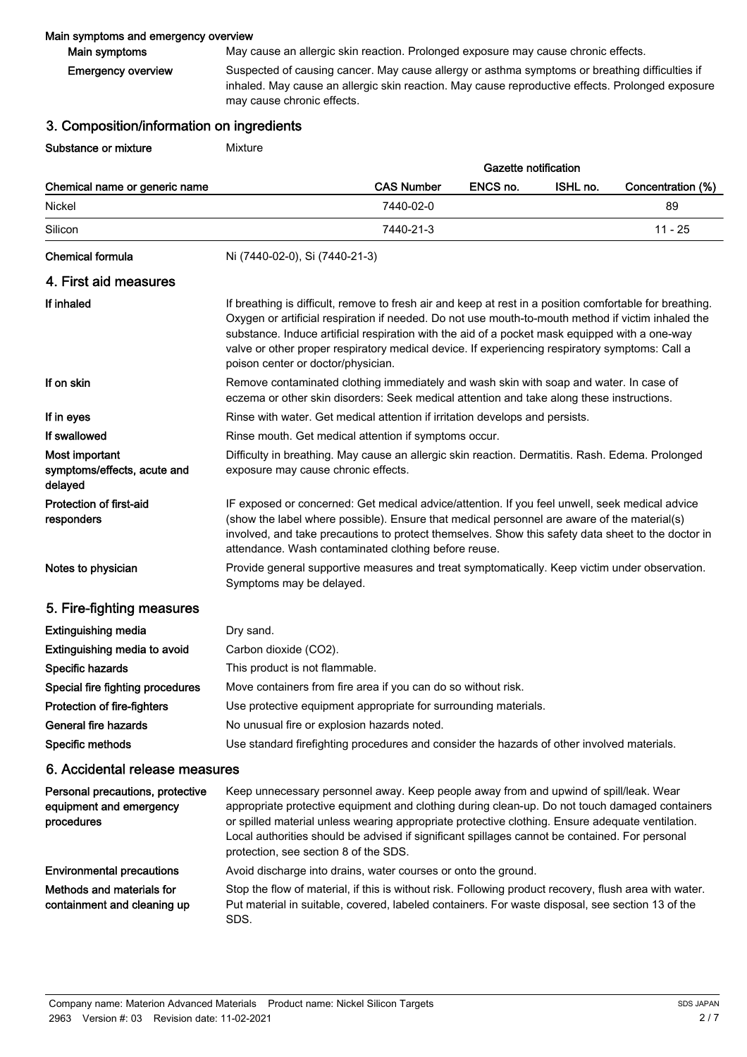### Main symptoms and emergency overview

Main symptoms May cause an allergic skin reaction. Prolonged exposure may cause chronic effects.

Suspected of causing cancer. May cause allergy or asthma symptoms or breathing difficulties if inhaled. May cause an allergic skin reaction. May cause reproductive effects. Prolonged exposure may cause chronic effects. Emergency overview

## 3. Composition/information on ingredients

**Substance or mixture Mixture Mixture** 

|                                                                           |                                                                                                                                                                                                                                                                                                                                                                                                                                                          |                   | <b>Gazette notification</b> |          |                   |
|---------------------------------------------------------------------------|----------------------------------------------------------------------------------------------------------------------------------------------------------------------------------------------------------------------------------------------------------------------------------------------------------------------------------------------------------------------------------------------------------------------------------------------------------|-------------------|-----------------------------|----------|-------------------|
| Chemical name or generic name                                             |                                                                                                                                                                                                                                                                                                                                                                                                                                                          | <b>CAS Number</b> | ENCS no.                    | ISHL no. | Concentration (%) |
| Nickel                                                                    |                                                                                                                                                                                                                                                                                                                                                                                                                                                          | 7440-02-0         |                             |          | 89                |
| Silicon                                                                   |                                                                                                                                                                                                                                                                                                                                                                                                                                                          | 7440-21-3         |                             |          | $11 - 25$         |
| <b>Chemical formula</b>                                                   | Ni (7440-02-0), Si (7440-21-3)                                                                                                                                                                                                                                                                                                                                                                                                                           |                   |                             |          |                   |
| 4. First aid measures                                                     |                                                                                                                                                                                                                                                                                                                                                                                                                                                          |                   |                             |          |                   |
| If inhaled                                                                | If breathing is difficult, remove to fresh air and keep at rest in a position comfortable for breathing.<br>Oxygen or artificial respiration if needed. Do not use mouth-to-mouth method if victim inhaled the<br>substance. Induce artificial respiration with the aid of a pocket mask equipped with a one-way<br>valve or other proper respiratory medical device. If experiencing respiratory symptoms: Call a<br>poison center or doctor/physician. |                   |                             |          |                   |
| If on skin                                                                | Remove contaminated clothing immediately and wash skin with soap and water. In case of<br>eczema or other skin disorders: Seek medical attention and take along these instructions.                                                                                                                                                                                                                                                                      |                   |                             |          |                   |
| If in eyes                                                                | Rinse with water. Get medical attention if irritation develops and persists.                                                                                                                                                                                                                                                                                                                                                                             |                   |                             |          |                   |
| If swallowed                                                              | Rinse mouth. Get medical attention if symptoms occur.                                                                                                                                                                                                                                                                                                                                                                                                    |                   |                             |          |                   |
| Most important<br>symptoms/effects, acute and<br>delayed                  | Difficulty in breathing. May cause an allergic skin reaction. Dermatitis. Rash. Edema. Prolonged<br>exposure may cause chronic effects.                                                                                                                                                                                                                                                                                                                  |                   |                             |          |                   |
| <b>Protection of first-aid</b><br>responders                              | IF exposed or concerned: Get medical advice/attention. If you feel unwell, seek medical advice<br>(show the label where possible). Ensure that medical personnel are aware of the material(s)<br>involved, and take precautions to protect themselves. Show this safety data sheet to the doctor in<br>attendance. Wash contaminated clothing before reuse.                                                                                              |                   |                             |          |                   |
| Notes to physician                                                        | Provide general supportive measures and treat symptomatically. Keep victim under observation.<br>Symptoms may be delayed.                                                                                                                                                                                                                                                                                                                                |                   |                             |          |                   |
| 5. Fire-fighting measures                                                 |                                                                                                                                                                                                                                                                                                                                                                                                                                                          |                   |                             |          |                   |
| <b>Extinguishing media</b>                                                | Dry sand.                                                                                                                                                                                                                                                                                                                                                                                                                                                |                   |                             |          |                   |
| Extinguishing media to avoid                                              | Carbon dioxide (CO2).                                                                                                                                                                                                                                                                                                                                                                                                                                    |                   |                             |          |                   |
| Specific hazards                                                          | This product is not flammable.                                                                                                                                                                                                                                                                                                                                                                                                                           |                   |                             |          |                   |
| Special fire fighting procedures                                          | Move containers from fire area if you can do so without risk.                                                                                                                                                                                                                                                                                                                                                                                            |                   |                             |          |                   |
| Protection of fire-fighters                                               | Use protective equipment appropriate for surrounding materials.                                                                                                                                                                                                                                                                                                                                                                                          |                   |                             |          |                   |
| General fire hazards                                                      | No unusual fire or explosion hazards noted.                                                                                                                                                                                                                                                                                                                                                                                                              |                   |                             |          |                   |
| Specific methods                                                          | Use standard firefighting procedures and consider the hazards of other involved materials.                                                                                                                                                                                                                                                                                                                                                               |                   |                             |          |                   |
| 6. Accidental release measures                                            |                                                                                                                                                                                                                                                                                                                                                                                                                                                          |                   |                             |          |                   |
| Personal precautions, protective<br>equipment and emergency<br>procedures | Keep unnecessary personnel away. Keep people away from and upwind of spill/leak. Wear<br>appropriate protective equipment and clothing during clean-up. Do not touch damaged containers<br>or spilled material unless wearing appropriate protective clothing. Ensure adequate ventilation.<br>Local authorities should be advised if significant spillages cannot be contained. For personal<br>protection, see section 8 of the SDS.                   |                   |                             |          |                   |
| <b>Environmental precautions</b>                                          | Avoid discharge into drains, water courses or onto the ground.                                                                                                                                                                                                                                                                                                                                                                                           |                   |                             |          |                   |
|                                                                           |                                                                                                                                                                                                                                                                                                                                                                                                                                                          |                   |                             |          |                   |

Stop the flow of material, if this is without risk. Following product recovery, flush area with water. Put material in suitable, covered, labeled containers. For waste disposal, see section 13 of the SDS. Methods and materials for containment and cleaning up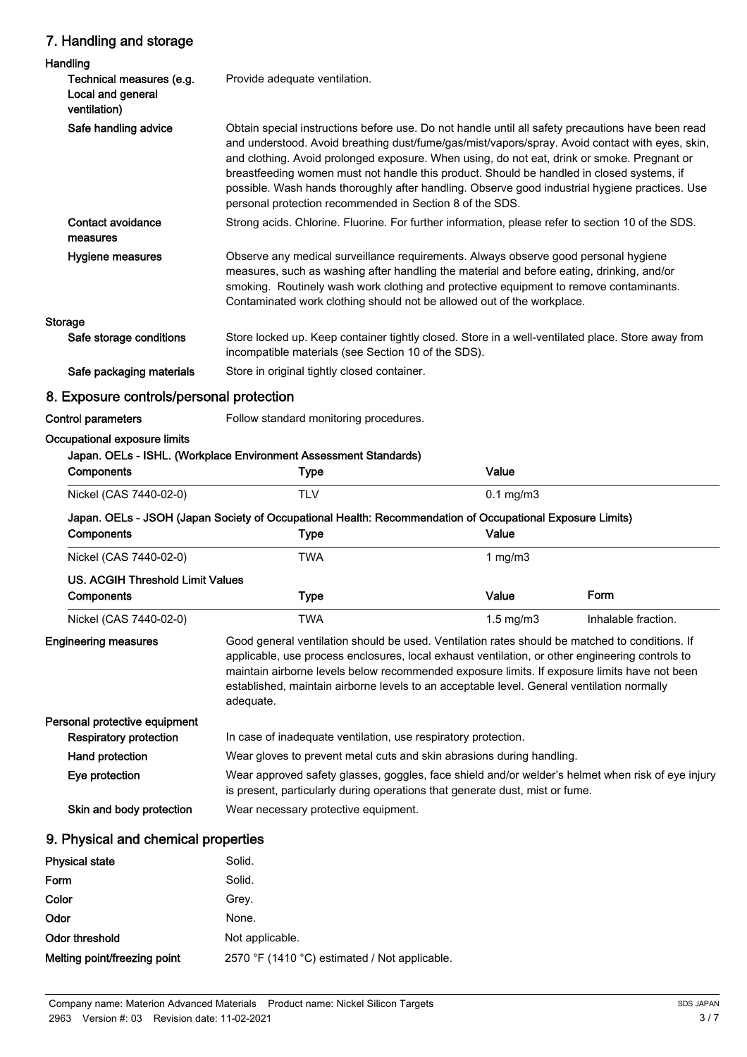## 7. Handling and storage

| Handling                                                      |                                                                                                                                                                                                                                                                                                                                                                                                                                                                                                                                                                |                    |                     |
|---------------------------------------------------------------|----------------------------------------------------------------------------------------------------------------------------------------------------------------------------------------------------------------------------------------------------------------------------------------------------------------------------------------------------------------------------------------------------------------------------------------------------------------------------------------------------------------------------------------------------------------|--------------------|---------------------|
| Technical measures (e.g.<br>Local and general<br>ventilation) | Provide adequate ventilation.                                                                                                                                                                                                                                                                                                                                                                                                                                                                                                                                  |                    |                     |
| Safe handling advice                                          | Obtain special instructions before use. Do not handle until all safety precautions have been read<br>and understood. Avoid breathing dust/fume/gas/mist/vapors/spray. Avoid contact with eyes, skin,<br>and clothing. Avoid prolonged exposure. When using, do not eat, drink or smoke. Pregnant or<br>breastfeeding women must not handle this product. Should be handled in closed systems, if<br>possible. Wash hands thoroughly after handling. Observe good industrial hygiene practices. Use<br>personal protection recommended in Section 8 of the SDS. |                    |                     |
| <b>Contact avoidance</b><br>measures                          | Strong acids. Chlorine. Fluorine. For further information, please refer to section 10 of the SDS.                                                                                                                                                                                                                                                                                                                                                                                                                                                              |                    |                     |
| Hygiene measures                                              | Observe any medical surveillance requirements. Always observe good personal hygiene<br>measures, such as washing after handling the material and before eating, drinking, and/or<br>smoking. Routinely wash work clothing and protective equipment to remove contaminants.<br>Contaminated work clothing should not be allowed out of the workplace.                                                                                                                                                                                                           |                    |                     |
| <b>Storage</b>                                                |                                                                                                                                                                                                                                                                                                                                                                                                                                                                                                                                                                |                    |                     |
| Safe storage conditions                                       | Store locked up. Keep container tightly closed. Store in a well-ventilated place. Store away from<br>incompatible materials (see Section 10 of the SDS).                                                                                                                                                                                                                                                                                                                                                                                                       |                    |                     |
| Safe packaging materials                                      | Store in original tightly closed container.                                                                                                                                                                                                                                                                                                                                                                                                                                                                                                                    |                    |                     |
| 8. Exposure controls/personal protection                      |                                                                                                                                                                                                                                                                                                                                                                                                                                                                                                                                                                |                    |                     |
| <b>Control parameters</b>                                     | Follow standard monitoring procedures.                                                                                                                                                                                                                                                                                                                                                                                                                                                                                                                         |                    |                     |
| Occupational exposure limits<br>Components                    | Japan. OELs - ISHL. (Workplace Environment Assessment Standards)<br><b>Type</b>                                                                                                                                                                                                                                                                                                                                                                                                                                                                                | Value              |                     |
| Nickel (CAS 7440-02-0)                                        | <b>TLV</b>                                                                                                                                                                                                                                                                                                                                                                                                                                                                                                                                                     | $0.1$ mg/m $3$     |                     |
| Components                                                    | Japan. OELs - JSOH (Japan Society of Occupational Health: Recommendation of Occupational Exposure Limits)<br>Type                                                                                                                                                                                                                                                                                                                                                                                                                                              | Value              |                     |
| Nickel (CAS 7440-02-0)                                        | <b>TWA</b>                                                                                                                                                                                                                                                                                                                                                                                                                                                                                                                                                     | 1 $mg/m3$          |                     |
| <b>US. ACGIH Threshold Limit Values</b>                       |                                                                                                                                                                                                                                                                                                                                                                                                                                                                                                                                                                |                    |                     |
| <b>Components</b>                                             | <b>Type</b>                                                                                                                                                                                                                                                                                                                                                                                                                                                                                                                                                    | Value              | Form                |
| Nickel (CAS 7440-02-0)                                        | TWA                                                                                                                                                                                                                                                                                                                                                                                                                                                                                                                                                            | $1.5 \text{ mg/m}$ | Inhalable fraction. |
| <b>Engineering measures</b>                                   | Good general ventilation should be used. Ventilation rates should be matched to conditions. If<br>applicable, use process enclosures, local exhaust ventilation, or other engineering controls to<br>maintain airborne levels below recommended exposure limits. If exposure limits have not been<br>established, maintain airborne levels to an acceptable level. General ventilation normally<br>adequate.                                                                                                                                                   |                    |                     |
| Personal protective equipment                                 |                                                                                                                                                                                                                                                                                                                                                                                                                                                                                                                                                                |                    |                     |
| <b>Respiratory protection</b>                                 | In case of inadequate ventilation, use respiratory protection.                                                                                                                                                                                                                                                                                                                                                                                                                                                                                                 |                    |                     |
| Hand protection                                               | Wear gloves to prevent metal cuts and skin abrasions during handling.                                                                                                                                                                                                                                                                                                                                                                                                                                                                                          |                    |                     |
| Eye protection                                                | Wear approved safety glasses, goggles, face shield and/or welder's helmet when risk of eye injury<br>is present, particularly during operations that generate dust, mist or fume.                                                                                                                                                                                                                                                                                                                                                                              |                    |                     |
| Skin and body protection                                      | Wear necessary protective equipment.                                                                                                                                                                                                                                                                                                                                                                                                                                                                                                                           |                    |                     |
| 9. Physical and chemical properties                           |                                                                                                                                                                                                                                                                                                                                                                                                                                                                                                                                                                |                    |                     |
| <b>Physical state</b>                                         | Solid.                                                                                                                                                                                                                                                                                                                                                                                                                                                                                                                                                         |                    |                     |
| Form                                                          | Solid.                                                                                                                                                                                                                                                                                                                                                                                                                                                                                                                                                         |                    |                     |
| Color                                                         | Grey.                                                                                                                                                                                                                                                                                                                                                                                                                                                                                                                                                          |                    |                     |
| Odor                                                          | None.                                                                                                                                                                                                                                                                                                                                                                                                                                                                                                                                                          |                    |                     |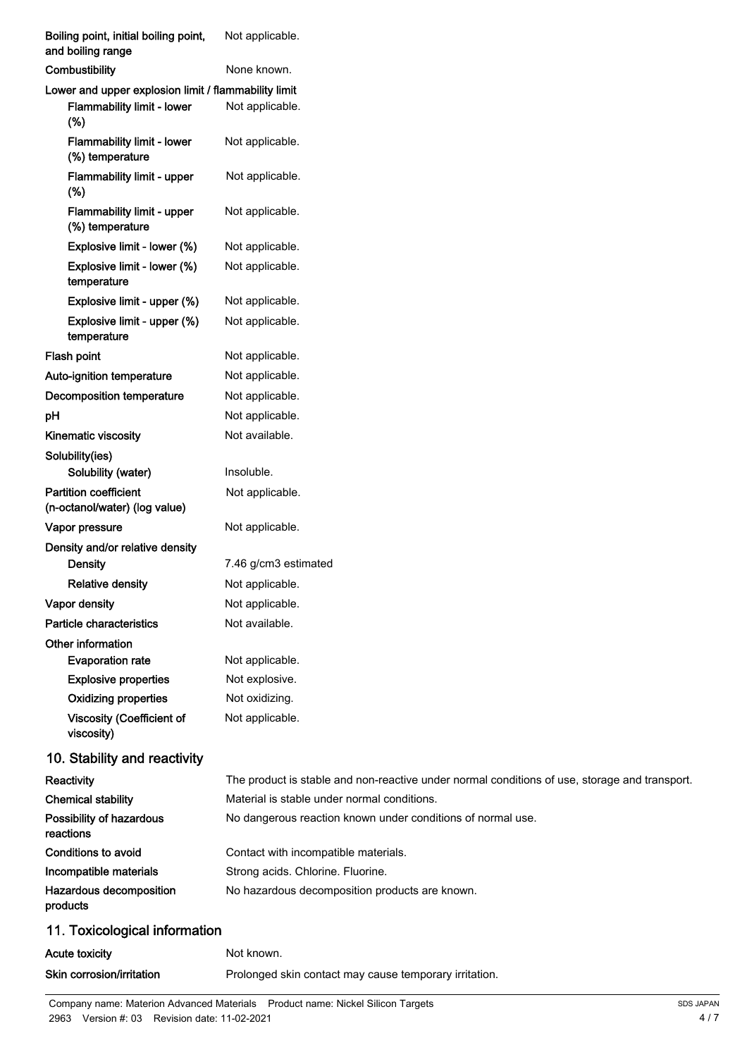| Boiling point, initial boiling point,<br>and boiling range    | Not applicable.                                                                               |
|---------------------------------------------------------------|-----------------------------------------------------------------------------------------------|
| Combustibility                                                | None known.                                                                                   |
| Lower and upper explosion limit / flammability limit          |                                                                                               |
| Flammability limit - lower<br>$(\%)$                          | Not applicable.                                                                               |
| <b>Flammability limit - lower</b><br>(%) temperature          | Not applicable.                                                                               |
| <b>Flammability limit - upper</b><br>(%)                      | Not applicable.                                                                               |
| Flammability limit - upper<br>(%) temperature                 | Not applicable.                                                                               |
| Explosive limit - lower (%)                                   | Not applicable.                                                                               |
| Explosive limit - lower (%)<br>temperature                    | Not applicable.                                                                               |
| Explosive limit - upper (%)                                   | Not applicable.                                                                               |
| Explosive limit - upper (%)<br>temperature                    | Not applicable.                                                                               |
| Flash point                                                   | Not applicable.                                                                               |
| Auto-ignition temperature                                     | Not applicable.                                                                               |
| Decomposition temperature                                     | Not applicable.                                                                               |
| pH                                                            | Not applicable.                                                                               |
| <b>Kinematic viscosity</b>                                    | Not available.                                                                                |
| Solubility(ies)                                               |                                                                                               |
| Solubility (water)                                            | Insoluble.                                                                                    |
| <b>Partition coefficient</b><br>(n-octanol/water) (log value) | Not applicable.                                                                               |
| Vapor pressure                                                | Not applicable.                                                                               |
| Density and/or relative density                               |                                                                                               |
| Density                                                       | 7.46 g/cm3 estimated                                                                          |
| <b>Relative density</b>                                       | Not applicable.                                                                               |
| Vapor density                                                 | Not applicable.                                                                               |
| Particle characteristics                                      | Not available.                                                                                |
| Other information<br><b>Evaporation rate</b>                  | Not applicable.                                                                               |
| <b>Explosive properties</b>                                   | Not explosive.                                                                                |
| <b>Oxidizing properties</b>                                   | Not oxidizing.                                                                                |
| <b>Viscosity (Coefficient of</b><br>viscosity)                | Not applicable.                                                                               |
| 10. Stability and reactivity                                  |                                                                                               |
| Reactivity                                                    | The product is stable and non-reactive under normal conditions of use, storage and transport. |
| <b>Chemical stability</b>                                     | Material is stable under normal conditions.                                                   |
| Possibility of hazardous<br>reactions                         | No dangerous reaction known under conditions of normal use.                                   |
| <b>Conditions to avoid</b>                                    | Contact with incompatible materials.                                                          |
| Incompatible materials                                        | Strong acids. Chlorine. Fluorine.                                                             |
| Hazardous decomposition<br>products                           | No hazardous decomposition products are known.                                                |
| 11. Toxicological information                                 |                                                                                               |
| <b>Acute toxicity</b>                                         | Not known.                                                                                    |
| Skin corrosion/irritation                                     | Prolonged skin contact may cause temporary irritation.                                        |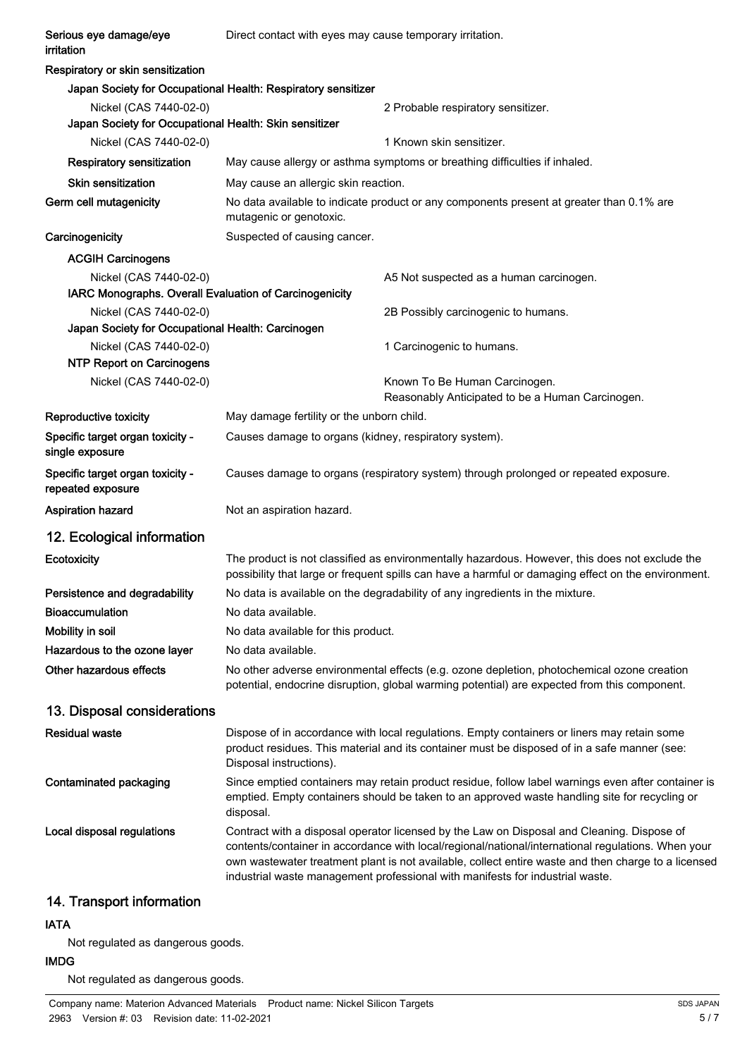| Serious eye damage/eye<br>irritation                                             | Direct contact with eyes may cause temporary irritation.                                                                                                                                                                                                                                                                                                                                 |  |
|----------------------------------------------------------------------------------|------------------------------------------------------------------------------------------------------------------------------------------------------------------------------------------------------------------------------------------------------------------------------------------------------------------------------------------------------------------------------------------|--|
| Respiratory or skin sensitization                                                |                                                                                                                                                                                                                                                                                                                                                                                          |  |
|                                                                                  | Japan Society for Occupational Health: Respiratory sensitizer                                                                                                                                                                                                                                                                                                                            |  |
| Nickel (CAS 7440-02-0)<br>Japan Society for Occupational Health: Skin sensitizer | 2 Probable respiratory sensitizer.                                                                                                                                                                                                                                                                                                                                                       |  |
| Nickel (CAS 7440-02-0)                                                           | 1 Known skin sensitizer.                                                                                                                                                                                                                                                                                                                                                                 |  |
| <b>Respiratory sensitization</b>                                                 | May cause allergy or asthma symptoms or breathing difficulties if inhaled.                                                                                                                                                                                                                                                                                                               |  |
| <b>Skin sensitization</b>                                                        | May cause an allergic skin reaction.                                                                                                                                                                                                                                                                                                                                                     |  |
| Germ cell mutagenicity                                                           | No data available to indicate product or any components present at greater than 0.1% are<br>mutagenic or genotoxic.                                                                                                                                                                                                                                                                      |  |
| Carcinogenicity                                                                  | Suspected of causing cancer.                                                                                                                                                                                                                                                                                                                                                             |  |
| <b>ACGIH Carcinogens</b>                                                         |                                                                                                                                                                                                                                                                                                                                                                                          |  |
| Nickel (CAS 7440-02-0)                                                           | A5 Not suspected as a human carcinogen.                                                                                                                                                                                                                                                                                                                                                  |  |
| IARC Monographs. Overall Evaluation of Carcinogenicity                           |                                                                                                                                                                                                                                                                                                                                                                                          |  |
| Nickel (CAS 7440-02-0)                                                           | 2B Possibly carcinogenic to humans.                                                                                                                                                                                                                                                                                                                                                      |  |
| Japan Society for Occupational Health: Carcinogen                                |                                                                                                                                                                                                                                                                                                                                                                                          |  |
| Nickel (CAS 7440-02-0)<br><b>NTP Report on Carcinogens</b>                       | 1 Carcinogenic to humans.                                                                                                                                                                                                                                                                                                                                                                |  |
| Nickel (CAS 7440-02-0)                                                           | Known To Be Human Carcinogen.                                                                                                                                                                                                                                                                                                                                                            |  |
|                                                                                  | Reasonably Anticipated to be a Human Carcinogen.                                                                                                                                                                                                                                                                                                                                         |  |
| Reproductive toxicity                                                            | May damage fertility or the unborn child.                                                                                                                                                                                                                                                                                                                                                |  |
| Specific target organ toxicity -<br>single exposure                              | Causes damage to organs (kidney, respiratory system).                                                                                                                                                                                                                                                                                                                                    |  |
| Specific target organ toxicity -<br>repeated exposure                            | Causes damage to organs (respiratory system) through prolonged or repeated exposure.                                                                                                                                                                                                                                                                                                     |  |
| <b>Aspiration hazard</b>                                                         | Not an aspiration hazard.                                                                                                                                                                                                                                                                                                                                                                |  |
| 12. Ecological information                                                       |                                                                                                                                                                                                                                                                                                                                                                                          |  |
| Ecotoxicity                                                                      | The product is not classified as environmentally hazardous. However, this does not exclude the<br>possibility that large or frequent spills can have a harmful or damaging effect on the environment.                                                                                                                                                                                    |  |
| Persistence and degradability                                                    | No data is available on the degradability of any ingredients in the mixture.                                                                                                                                                                                                                                                                                                             |  |
| <b>Bioaccumulation</b>                                                           | No data available.                                                                                                                                                                                                                                                                                                                                                                       |  |
| Mobility in soil                                                                 | No data available for this product.                                                                                                                                                                                                                                                                                                                                                      |  |
| Hazardous to the ozone layer                                                     | No data available.                                                                                                                                                                                                                                                                                                                                                                       |  |
| Other hazardous effects                                                          | No other adverse environmental effects (e.g. ozone depletion, photochemical ozone creation<br>potential, endocrine disruption, global warming potential) are expected from this component.                                                                                                                                                                                               |  |
| 13. Disposal considerations                                                      |                                                                                                                                                                                                                                                                                                                                                                                          |  |
| <b>Residual waste</b>                                                            | Dispose of in accordance with local regulations. Empty containers or liners may retain some<br>product residues. This material and its container must be disposed of in a safe manner (see:<br>Disposal instructions).                                                                                                                                                                   |  |
| Contaminated packaging                                                           | Since emptied containers may retain product residue, follow label warnings even after container is<br>emptied. Empty containers should be taken to an approved waste handling site for recycling or<br>disposal.                                                                                                                                                                         |  |
| Local disposal regulations                                                       | Contract with a disposal operator licensed by the Law on Disposal and Cleaning. Dispose of<br>contents/container in accordance with local/regional/national/international regulations. When your<br>own wastewater treatment plant is not available, collect entire waste and then charge to a licensed<br>industrial waste management professional with manifests for industrial waste. |  |
| 14. Transport information                                                        |                                                                                                                                                                                                                                                                                                                                                                                          |  |

## IATA

Not regulated as dangerous goods.

IMDG Not regulated as dangerous goods.

Company name: Materion Advanced Materials Product name: Nickel Silicon Targets 2963 Version #: 03 Revision date: 11-02-2021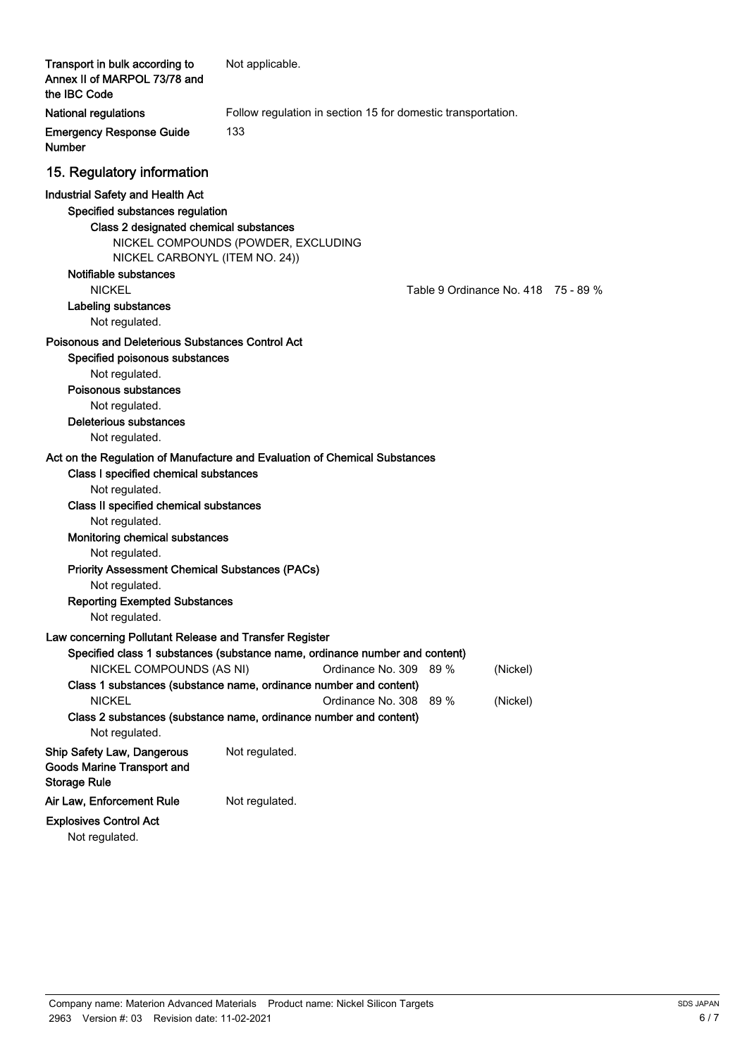| Transport in bulk according to<br>Annex II of MARPOL 73/78 and<br>the IBC Code                                                                                                                                                                                                                                                                                         | Not applicable.                                                                                                                                                                                                                                                                                        |
|------------------------------------------------------------------------------------------------------------------------------------------------------------------------------------------------------------------------------------------------------------------------------------------------------------------------------------------------------------------------|--------------------------------------------------------------------------------------------------------------------------------------------------------------------------------------------------------------------------------------------------------------------------------------------------------|
| <b>National regulations</b>                                                                                                                                                                                                                                                                                                                                            | Follow regulation in section 15 for domestic transportation.                                                                                                                                                                                                                                           |
| <b>Emergency Response Guide</b><br><b>Number</b>                                                                                                                                                                                                                                                                                                                       | 133                                                                                                                                                                                                                                                                                                    |
| 15. Regulatory information                                                                                                                                                                                                                                                                                                                                             |                                                                                                                                                                                                                                                                                                        |
| <b>Industrial Safety and Health Act</b><br>Specified substances regulation<br>Class 2 designated chemical substances<br>NICKEL CARBONYL (ITEM NO. 24))<br>Notifiable substances<br><b>NICKEL</b><br>Labeling substances                                                                                                                                                | NICKEL COMPOUNDS (POWDER, EXCLUDING<br>Table 9 Ordinance No. 418 75 - 89 %                                                                                                                                                                                                                             |
| Not regulated.                                                                                                                                                                                                                                                                                                                                                         |                                                                                                                                                                                                                                                                                                        |
| Poisonous and Deleterious Substances Control Act<br>Specified poisonous substances<br>Not regulated.<br>Poisonous substances<br>Not regulated.<br><b>Deleterious substances</b><br>Not regulated.                                                                                                                                                                      |                                                                                                                                                                                                                                                                                                        |
| Class I specified chemical substances<br>Not regulated.<br>Class II specified chemical substances<br>Not regulated.<br>Monitoring chemical substances<br>Not regulated.<br><b>Priority Assessment Chemical Substances (PACs)</b><br>Not regulated.<br><b>Reporting Exempted Substances</b><br>Not regulated.<br>Law concerning Pollutant Release and Transfer Register | Act on the Regulation of Manufacture and Evaluation of Chemical Substances                                                                                                                                                                                                                             |
| NICKEL COMPOUNDS (AS NI)<br><b>NICKEL</b><br>Not regulated.                                                                                                                                                                                                                                                                                                            | Specified class 1 substances (substance name, ordinance number and content)<br>Ordinance No. 309<br>89%<br>(Nickel)<br>Class 1 substances (substance name, ordinance number and content)<br>Ordinance No. 308<br>89 %<br>(Nickel)<br>Class 2 substances (substance name, ordinance number and content) |
| <b>Ship Safety Law, Dangerous</b><br><b>Goods Marine Transport and</b><br><b>Storage Rule</b>                                                                                                                                                                                                                                                                          | Not regulated.                                                                                                                                                                                                                                                                                         |
| Air Law, Enforcement Rule                                                                                                                                                                                                                                                                                                                                              | Not regulated.                                                                                                                                                                                                                                                                                         |
| <b>Explosives Control Act</b>                                                                                                                                                                                                                                                                                                                                          |                                                                                                                                                                                                                                                                                                        |

Not regulated.